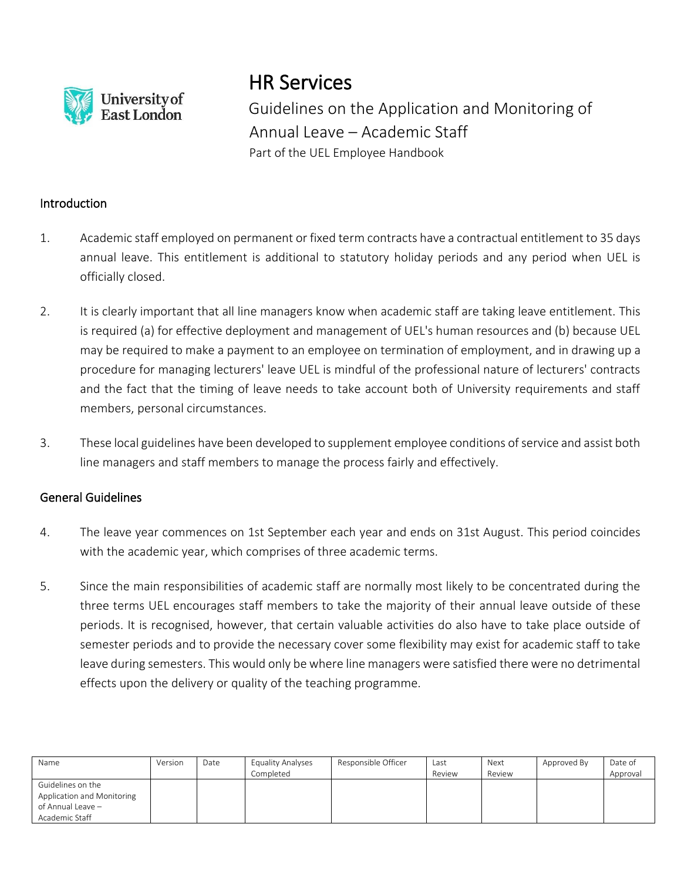

# HR Services

Guidelines on the Application and Monitoring of Annual Leave – Academic Staff Part of the UEL Employee Handbook

### **Introduction**

- 1. Academic staff employed on permanent or fixed term contracts have a contractual entitlement to 35 days annual leave. This entitlement is additional to statutory holiday periods and any period when UEL is officially closed.
- 2. It is clearly important that all line managers know when academic staff are taking leave entitlement. This is required (a) for effective deployment and management of UEL's human resources and (b) because UEL may be required to make a payment to an employee on termination of employment, and in drawing up a procedure for managing lecturers' leave UEL is mindful of the professional nature of lecturers' contracts and the fact that the timing of leave needs to take account both of University requirements and staff members, personal circumstances.
- 3. These local guidelines have been developed to supplement employee conditions of service and assist both line managers and staff members to manage the process fairly and effectively.

## General Guidelines

- 4. The leave year commences on 1st September each year and ends on 31st August. This period coincides with the academic year, which comprises of three academic terms.
- 5. Since the main responsibilities of academic staff are normally most likely to be concentrated during the three terms UEL encourages staff members to take the majority of their annual leave outside of these periods. It is recognised, however, that certain valuable activities do also have to take place outside of semester periods and to provide the necessary cover some flexibility may exist for academic staff to take leave during semesters. This would only be where line managers were satisfied there were no detrimental effects upon the delivery or quality of the teaching programme.

| Name                       | Version | Date | <b>Equality Analyses</b><br>Completed | Responsible Officer | Last<br>Review | Next<br>Review | Approved By | Date of<br>Approval |
|----------------------------|---------|------|---------------------------------------|---------------------|----------------|----------------|-------------|---------------------|
| Guidelines on the          |         |      |                                       |                     |                |                |             |                     |
| Application and Monitoring |         |      |                                       |                     |                |                |             |                     |
| of Annual Leave -          |         |      |                                       |                     |                |                |             |                     |
| Academic Staff             |         |      |                                       |                     |                |                |             |                     |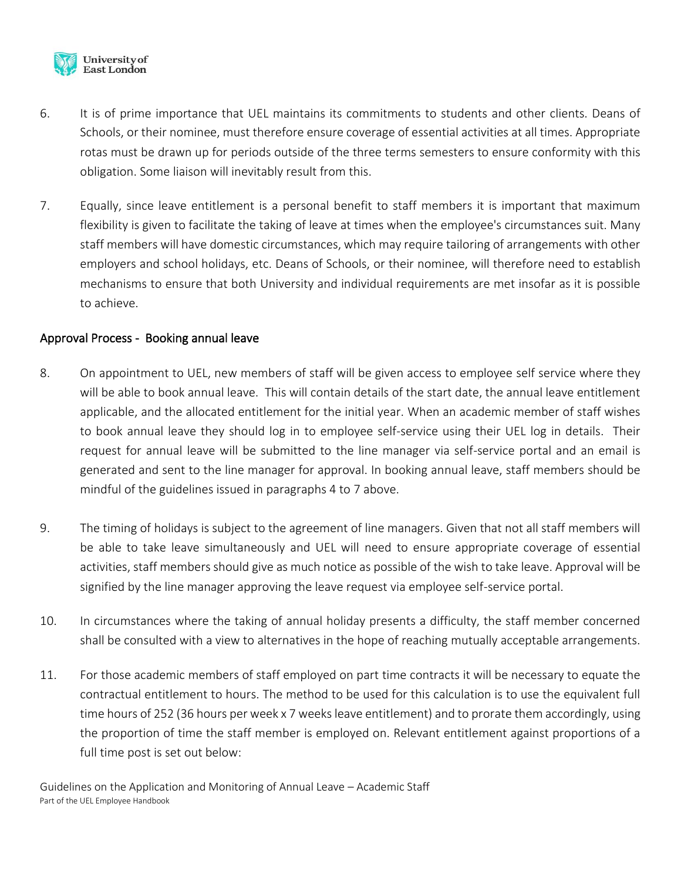

- 6. It is of prime importance that UEL maintains its commitments to students and other clients. Deans of Schools, or their nominee, must therefore ensure coverage of essential activities at all times. Appropriate rotas must be drawn up for periods outside of the three terms semesters to ensure conformity with this obligation. Some liaison will inevitably result from this.
- 7. Equally, since leave entitlement is a personal benefit to staff members it is important that maximum flexibility is given to facilitate the taking of leave at times when the employee's circumstances suit. Many staff members will have domestic circumstances, which may require tailoring of arrangements with other employers and school holidays, etc. Deans of Schools, or their nominee, will therefore need to establish mechanisms to ensure that both University and individual requirements are met insofar as it is possible to achieve.

#### Approval Process - Booking annual leave

- 8. On appointment to UEL, new members of staff will be given access to employee self service where they will be able to book annual leave. This will contain details of the start date, the annual leave entitlement applicable, and the allocated entitlement for the initial year. When an academic member of staff wishes to book annual leave they should log in to employee self-service using their UEL log in details. Their request for annual leave will be submitted to the line manager via self-service portal and an email is generated and sent to the line manager for approval. In booking annual leave, staff members should be mindful of the guidelines issued in paragraphs 4 to 7 above.
- 9. The timing of holidays is subject to the agreement of line managers. Given that not all staff members will be able to take leave simultaneously and UEL will need to ensure appropriate coverage of essential activities, staff members should give as much notice as possible of the wish to take leave. Approval will be signified by the line manager approving the leave request via employee self-service portal.
- 10. In circumstances where the taking of annual holiday presents a difficulty, the staff member concerned shall be consulted with a view to alternatives in the hope of reaching mutually acceptable arrangements.
- 11. For those academic members of staff employed on part time contracts it will be necessary to equate the contractual entitlement to hours. The method to be used for this calculation is to use the equivalent full time hours of 252 (36 hours per week x 7 weeks leave entitlement) and to prorate them accordingly, using the proportion of time the staff member is employed on. Relevant entitlement against proportions of a full time post is set out below: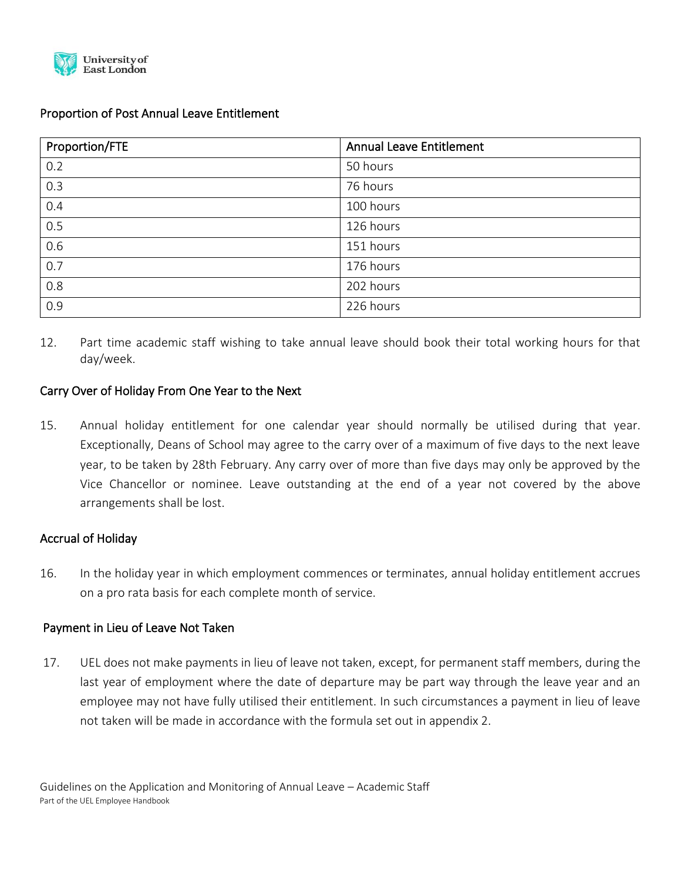

#### Proportion of Post Annual Leave Entitlement

| Proportion/FTE | <b>Annual Leave Entitlement</b> |
|----------------|---------------------------------|
| 0.2            | 50 hours                        |
| 0.3            | 76 hours                        |
| 0.4            | 100 hours                       |
| 0.5            | 126 hours                       |
| 0.6            | 151 hours                       |
| 0.7            | 176 hours                       |
| 0.8            | 202 hours                       |
| 0.9            | 226 hours                       |

12. Part time academic staff wishing to take annual leave should book their total working hours for that day/week.

#### Carry Over of Holiday From One Year to the Next

15. Annual holiday entitlement for one calendar year should normally be utilised during that year. Exceptionally, Deans of School may agree to the carry over of a maximum of five days to the next leave year, to be taken by 28th February. Any carry over of more than five days may only be approved by the Vice Chancellor or nominee. Leave outstanding at the end of a year not covered by the above arrangements shall be lost.

#### Accrual of Holiday

16. In the holiday year in which employment commences or terminates, annual holiday entitlement accrues on a pro rata basis for each complete month of service.

#### Payment in Lieu of Leave Not Taken

17. UEL does not make payments in lieu of leave not taken, except, for permanent staff members, during the last year of employment where the date of departure may be part way through the leave year and an employee may not have fully utilised their entitlement. In such circumstances a payment in lieu of leave not taken will be made in accordance with the formula set out in appendix 2.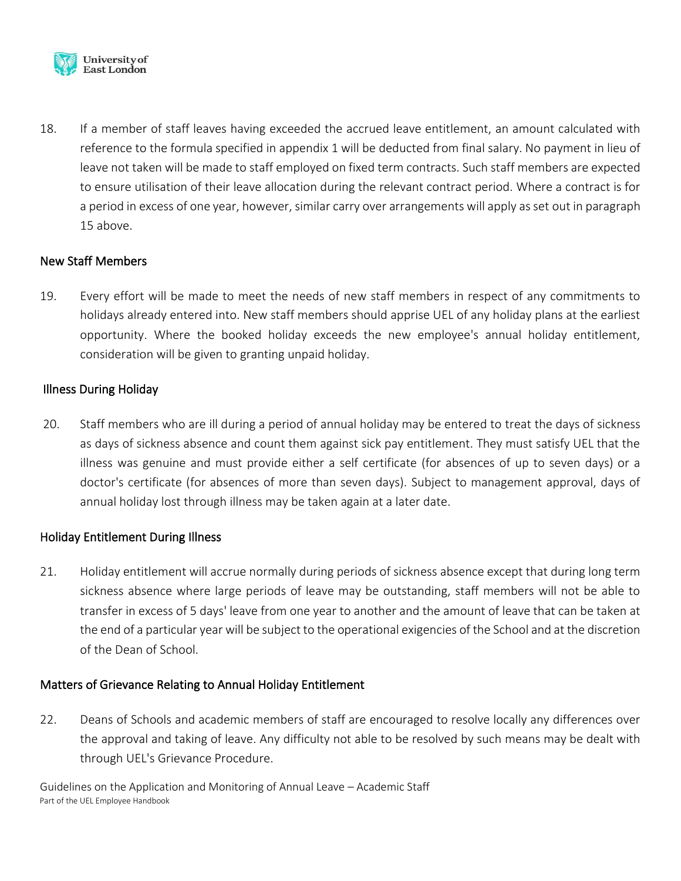

18. If a member of staff leaves having exceeded the accrued leave entitlement, an amount calculated with reference to the formula specified in appendix 1 will be deducted from final salary. No payment in lieu of leave not taken will be made to staff employed on fixed term contracts. Such staff members are expected to ensure utilisation of their leave allocation during the relevant contract period. Where a contract is for a period in excess of one year, however, similar carry over arrangements will apply as set out in paragraph 15 above.

## New Staff Members

19. Every effort will be made to meet the needs of new staff members in respect of any commitments to holidays already entered into. New staff members should apprise UEL of any holiday plans at the earliest opportunity. Where the booked holiday exceeds the new employee's annual holiday entitlement, consideration will be given to granting unpaid holiday.

#### Illness During Holiday

20. Staff members who are ill during a period of annual holiday may be entered to treat the days of sickness as days of sickness absence and count them against sick pay entitlement. They must satisfy UEL that the illness was genuine and must provide either a self certificate (for absences of up to seven days) or a doctor's certificate (for absences of more than seven days). Subject to management approval, days of annual holiday lost through illness may be taken again at a later date.

## Holiday Entitlement During Illness

21. Holiday entitlement will accrue normally during periods of sickness absence except that during long term sickness absence where large periods of leave may be outstanding, staff members will not be able to transfer in excess of 5 days' leave from one year to another and the amount of leave that can be taken at the end of a particular year will be subject to the operational exigencies of the School and at the discretion of the Dean of School.

## Matters of Grievance Relating to Annual Holiday Entitlement

22. Deans of Schools and academic members of staff are encouraged to resolve locally any differences over the approval and taking of leave. Any difficulty not able to be resolved by such means may be dealt with through UEL's Grievance Procedure.

Guidelines on the Application and Monitoring of Annual Leave – Academic Staff Part of the UEL Employee Handbook